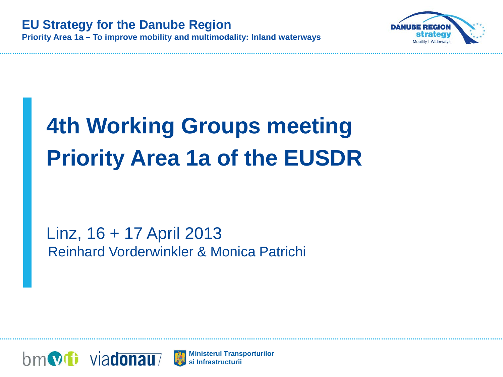

# **4th Working Groups meeting Priority Area 1a of the EUSDR**

Linz, 16 + 17 April 2013 Reinhard Vorderwinkler & Monica Patrichi



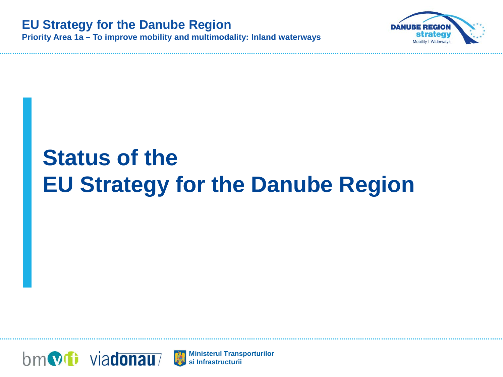

# **Status of the EU Strategy for the Danube Region**



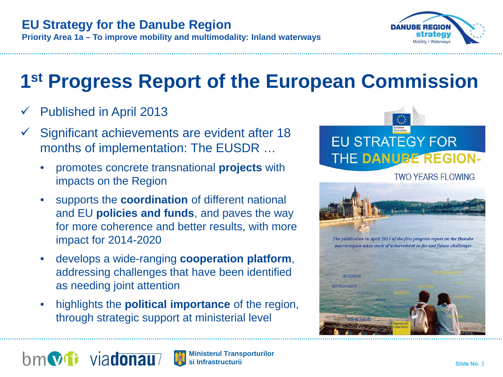

# **1st Progress Report of the European Commission**

- Published in April 2013
- Significant achievements are evident after 18 months of implementation: The EUSDR …
	- promotes concrete transnational **projects** with impacts on the Region
	- supports the **coordination** of different national and EU **policies and funds**, and paves the way for more coherence and better results, with more impact for 2014-2020
	- develops a wide-ranging **cooperation platform**, addressing challenges that have been identified as needing joint attention
	- highlights the **political importance** of the region, through strategic support at ministerial level





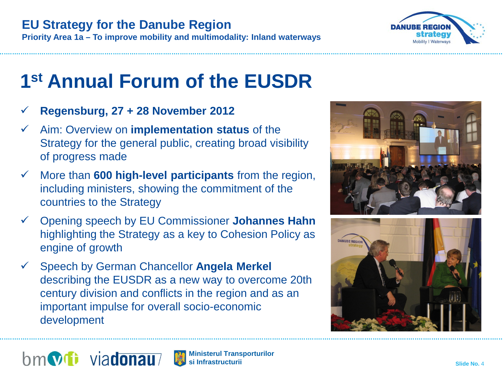

#### **EU Strategy for the Danube Region**

**Priority Area 1a – To improve mobility and multimodality: Inland waterways**

# **1st Annual Forum of the EUSDR**

- **Regensburg, 27 + 28 November 2012**
- Aim: Overview on **implementation status** of the Strategy for the general public, creating broad visibility of progress made
- More than **600 high-level participants** from the region, including ministers, showing the commitment of the countries to the Strategy
- Opening speech by EU Commissioner **Johannes Hahn**  highlighting the Strategy as a key to Cohesion Policy as engine of growth
- Speech by German Chancellor **Angela Merkel**  describing the EUSDR as a new way to overcome 20th century division and conflicts in the region and as an important impulse for overall socio-economic development





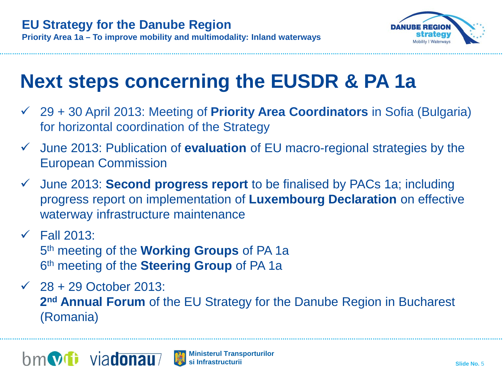

### **Next steps concerning the EUSDR & PA 1a**

- 29 + 30 April 2013: Meeting of **Priority Area Coordinators** in Sofia (Bulgaria) for horizontal coordination of the Strategy
- June 2013: Publication of **evaluation** of EU macro-regional strategies by the European Commission
- June 2013: **Second progress report** to be finalised by PACs 1a; including progress report on implementation of **Luxembourg Declaration** on effective waterway infrastructure maintenance
- $\checkmark$  Fall 2013: 5th meeting of the **Working Groups** of PA 1a 6th meeting of the **Steering Group** of PA 1a
- $\sqrt{28 + 29}$  October 2013: **2nd Annual Forum** of the EU Strategy for the Danube Region in Bucharest (Romania)



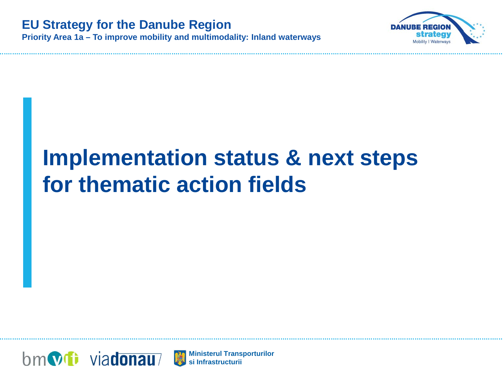

# **Implementation status & next steps for thematic action fields**



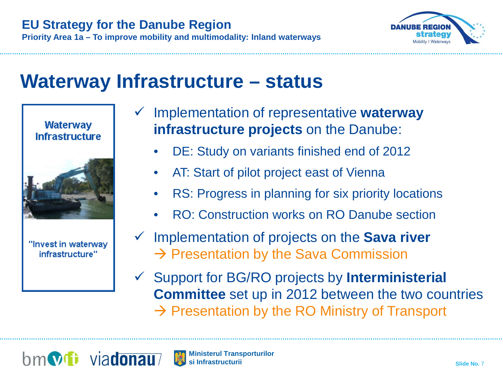

#### **Waterway Infrastructure – status**



"Invest in waterway infrastructure"

- Implementation of representative **waterway infrastructure projects** on the Danube:
	- DE: Study on variants finished end of 2012
	- AT: Start of pilot project east of Vienna
	- RS: Progress in planning for six priority locations
	- RO: Construction works on RO Danube section
- Implementation of projects on the **Sava river**  $\rightarrow$  Presentation by the Sava Commission
- Support for BG/RO projects by **Interministerial Committee** set up in 2012 between the two countries  $\rightarrow$  Presentation by the RO Ministry of Transport



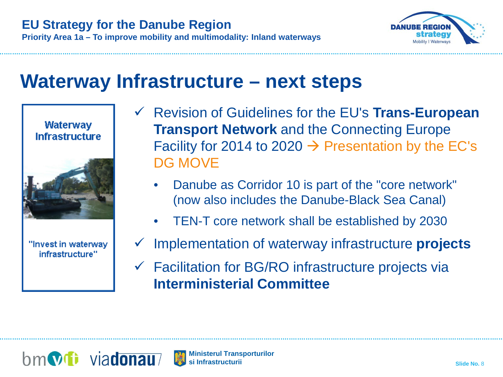

#### **Waterway Infrastructure – next steps**



"Invest in waterway infrastructure"

- Revision of Guidelines for the EU's **Trans-European Transport Network** and the Connecting Europe Facility for 2014 to 2020  $\rightarrow$  Presentation by the EC's DG MOVE
	- Danube as Corridor 10 is part of the "core network" (now also includes the Danube-Black Sea Canal)
	- TEN-T core network shall be established by 2030
- Implementation of waterway infrastructure **projects**
- $\checkmark$  Facilitation for BG/RO infrastructure projects via **Interministerial Committee**

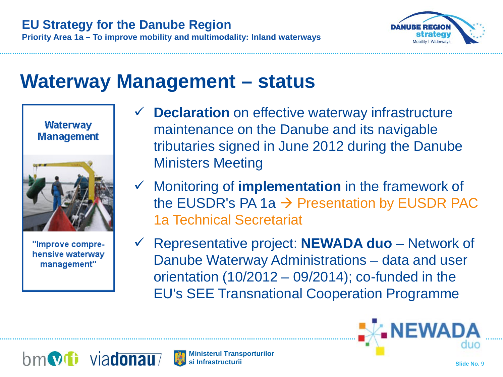

#### **Waterway Management – status**





"Improve comprehensive waterway management"

- **Declaration** on effective waterway infrastructure maintenance on the Danube and its navigable tributaries signed in June 2012 during the Danube Ministers Meeting
- Monitoring of **implementation** in the framework of the EUSDR's PA 1a  $\rightarrow$  Presentation by EUSDR PAC 1a Technical Secretariat
- Representative project: **NEWADA duo** Network of Danube Waterway Administrations – data and user orientation  $(10/2012 - 09/2014)$ ; co-funded in the EU's SEE Transnational Cooperation Programme





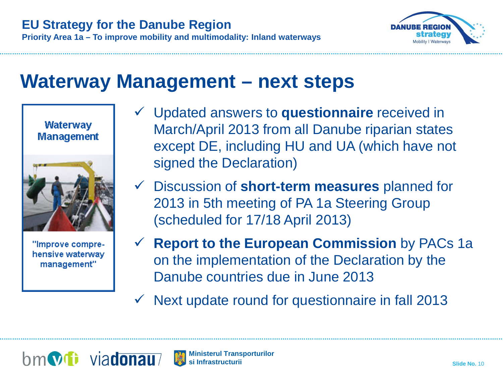

#### **Waterway Management – next steps**

**Waterway Management** 



"Improve comprehensive waterway management"

- Updated answers to **questionnaire** received in March/April 2013 from all Danube riparian states except DE, including HU and UA (which have not signed the Declaration)
- Discussion of **short-term measures** planned for 2013 in 5th meeting of PA 1a Steering Group (scheduled for 17/18 April 2013)
- **Report to the European Commission** by PACs 1a on the implementation of the Declaration by the Danube countries due in June 2013
- $\checkmark$  Next update round for questionnaire in fall 2013

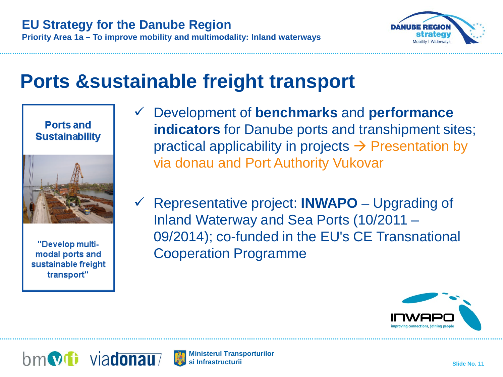

#### **Ports &sustainable freight transport**





"Develop multimodal ports and sustainable freight transport"

- Development of **benchmarks** and **performance indicators** for Danube ports and transhipment sites; practical applicability in projects  $\rightarrow$  Presentation by via donau and Port Authority Vukovar
- Representative project: **INWAPO** Upgrading of Inland Waterway and Sea Ports (10/2011 – 09/2014); co-funded in the EU's CE Transnational Cooperation Programme





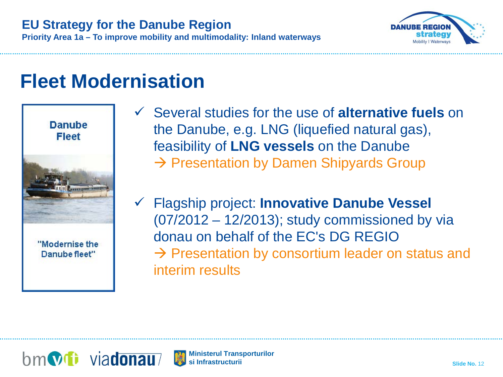

**Priority Area 1a – To improve mobility and multimodality: Inland waterways**

### **Fleet Modernisation**



- Several studies for the use of **alternative fuels** on the Danube, e.g. LNG (liquefied natural gas), feasibility of **LNG vessels** on the Danube  $\rightarrow$  Presentation by Damen Shipyards Group
- Flagship project: **Innovative Danube Vessel** (07/2012 – 12/2013); study commissioned by via donau on behalf of the EC's DG REGIO  $\rightarrow$  Presentation by consortium leader on status and interim results



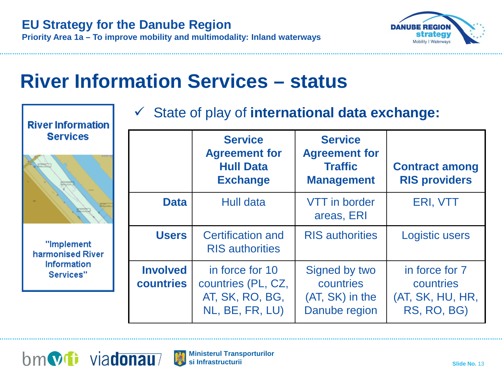

#### **River Information Services – status**

| <b>River Information</b>                                          | $\checkmark$ State of play of international data exchange: |                                                                               |                                                                               |                                                                |  |  |  |
|-------------------------------------------------------------------|------------------------------------------------------------|-------------------------------------------------------------------------------|-------------------------------------------------------------------------------|----------------------------------------------------------------|--|--|--|
| <b>Services</b>                                                   |                                                            | <b>Service</b><br><b>Agreement for</b><br><b>Hull Data</b><br><b>Exchange</b> | <b>Service</b><br><b>Agreement for</b><br><b>Traffic</b><br><b>Management</b> | <b>Contract among</b><br><b>RIS providers</b>                  |  |  |  |
|                                                                   | <b>Data</b>                                                | <b>Hull data</b>                                                              | <b>VTT</b> in border<br>areas, ERI                                            | ERI, VTT                                                       |  |  |  |
| "Implement<br>harmonised River<br><b>Information</b><br>Services" | <b>Users</b>                                               | <b>Certification and</b><br><b>RIS</b> authorities                            | <b>RIS</b> authorities                                                        | <b>Logistic users</b>                                          |  |  |  |
|                                                                   | <b>Involved</b><br>countries                               | in force for 10<br>countries (PL, CZ,<br>AT, SK, RO, BG,<br>NL, BE, FR, LU)   | Signed by two<br>countries<br>(AT, SK) in the<br>Danube region                | in force for 7<br>countries<br>(AT, SK, HU, HR,<br>RS, RO, BG) |  |  |  |



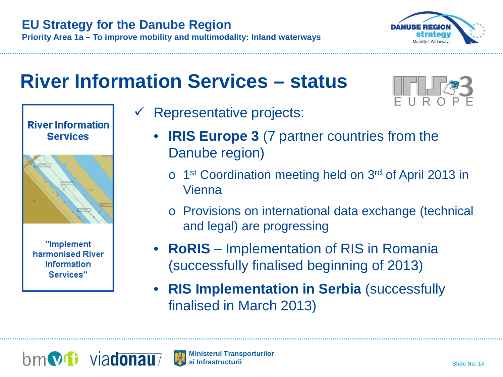

### **River Information Services – status**





"Implement harmonised River Information Services"

- Representative projects:
	- **IRIS Europe 3** (7 partner countries from the Danube region)
		- o 1st Coordination meeting held on 3rd of April 2013 in Vienna
		- o Provisions on international data exchange (technical and legal) are progressing
	- **RoRIS** Implementation of RIS in Romania (successfully finalised beginning of 2013)
	- **RIS Implementation in Serbia** (successfully finalised in March 2013)

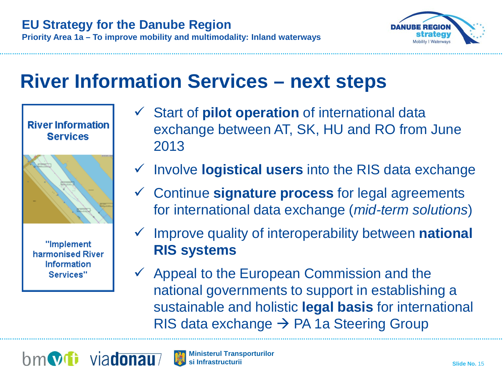

### **River Information Services – next steps**



**River Information** 

"Implement harmonised River Information Services"

- Start of **pilot operation** of international data exchange between AT, SK, HU and RO from June 2013
- Involve **logistical users** into the RIS data exchange
- Continue **signature process** for legal agreements for international data exchange (*mid-term solutions*)
- Improve quality of interoperability between **national RIS systems**
- $\checkmark$  Appeal to the European Commission and the national governments to support in establishing a sustainable and holistic **legal basis** for international RIS data exchange  $\rightarrow$  PA 1a Steering Group



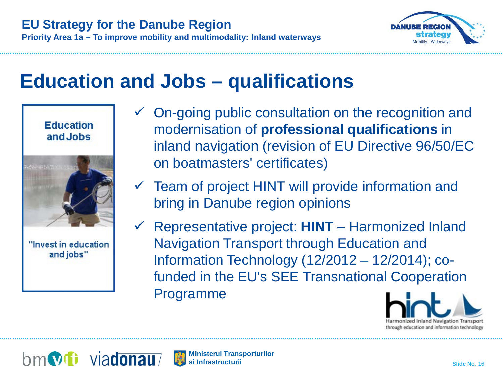

#### **Education and Jobs – qualifications**

**Education** and Jobs





- $\checkmark$  On-going public consultation on the recognition and modernisation of **professional qualifications** in inland navigation (revision of EU Directive 96/50/EC on boatmasters' certificates)
- $\checkmark$  Team of project HINT will provide information and bring in Danube region opinions
- Representative project: **HINT** Harmonized Inland Navigation Transport through Education and Information Technology (12/2012 – 12/2014); cofunded in the EU's SEE Transnational Cooperation Programme



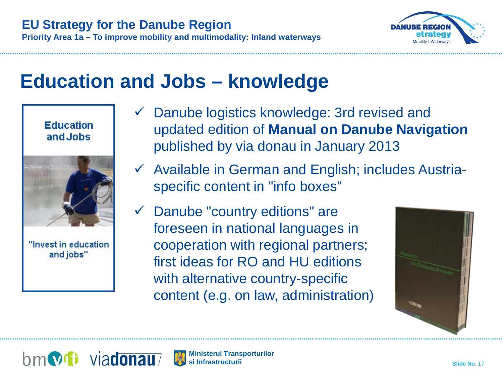

#### **Education and Jobs – knowledge**

**Education** and Jobs





- $\checkmark$  Danube logistics knowledge: 3rd revised and updated edition of **Manual on Danube Navigation** published by via donau in January 2013
- $\checkmark$  Available in German and English; includes Austriaspecific content in "info boxes"
- $\checkmark$  Danube "country editions" are foreseen in national languages in cooperation with regional partners; first ideas for RO and HU editions with alternative country-specific content (e.g. on law, administration)





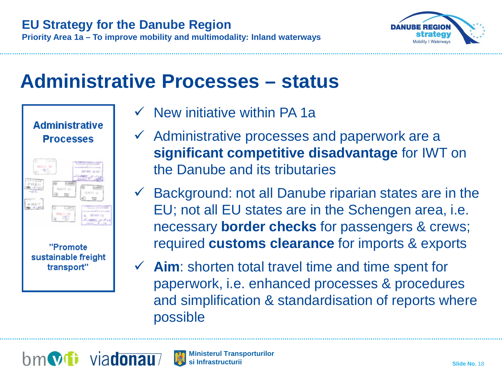

#### **Administrative Processes – status**



- $\checkmark$  New initiative within PA 1a
- $\checkmark$  Administrative processes and paperwork are a **significant competitive disadvantage** for IWT on the Danube and its tributaries
- $\checkmark$  Background: not all Danube riparian states are in the EU; not all EU states are in the Schengen area, i.e. necessary **border checks** for passengers & crews; required **customs clearance** for imports & exports
- **Aim**: shorten total travel time and time spent for paperwork, i.e. enhanced processes & procedures and simplification & standardisation of reports where possible

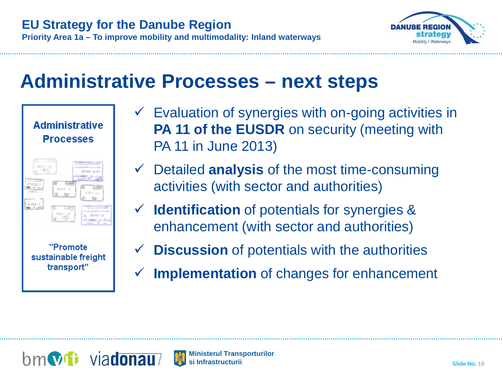

#### **Administrative Processes – next steps**



- $\checkmark$  Evaluation of synergies with on-going activities in **PA 11 of the EUSDR** on security (meeting with PA 11 in June 2013)
- Detailed **analysis** of the most time-consuming activities (with sector and authorities)
- **Identification** of potentials for synergies & enhancement (with sector and authorities)
- **Discussion** of potentials with the authorities
- **Implementation** of changes for enhancement



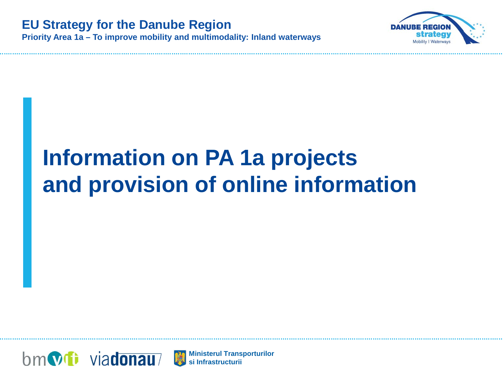

# **Information on PA 1a projects and provision of online information**



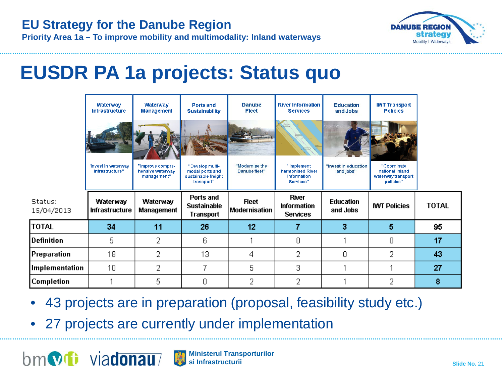

**Priority Area 1a – To improve mobility and multimodality: Inland waterways**

#### **EUSDR PA 1a projects: Status quo**

|                         | <b>Waterway</b><br><b>Infrastructure</b> | <b>Waterway</b><br><b>Management</b>                | <b>Ports and</b><br><b>Sustainability</b>                               | <b>Danube</b><br><b>Fleet</b>        | <b>River Information</b><br><b>Services</b>                       | <b>Education</b><br>and Jobs      | <b>IWT Transport</b><br><b>Policies</b>                           |              |
|-------------------------|------------------------------------------|-----------------------------------------------------|-------------------------------------------------------------------------|--------------------------------------|-------------------------------------------------------------------|-----------------------------------|-------------------------------------------------------------------|--------------|
|                         | "Invest in waterway<br>infrastructure"   | "Improve compre-<br>hensive waterway<br>management" | "Develop multi-<br>modal ports and<br>sustainable freight<br>transport" | "Modernise the<br>Danube fleet"      | "Implement<br>harmonised River<br><b>Information</b><br>Services" | "Invest in education<br>and jobs" | "Coordinate<br>national inland<br>waterway transport<br>policies" |              |
|                         |                                          |                                                     |                                                                         |                                      |                                                                   |                                   |                                                                   |              |
| Status:<br>15/04/2013   | Waterway<br><b>Infrastructure</b>        | Waterway<br><b>Management</b>                       | Ports and<br><b>Sustainable</b><br>Transport                            | <b>Fleet</b><br><b>Modernisation</b> | <b>River</b><br><b>Information</b><br><b>Services</b>             | <b>Education</b><br>and Jobs      | <b>MT Policies</b>                                                | <b>TOTAL</b> |
| <b>TOTAL</b>            | 34                                       | 11                                                  | 26                                                                      | 12                                   | 7                                                                 | 3                                 | 5                                                                 | 95           |
| efinition)              | 5                                        | 2                                                   | 6                                                                       |                                      | 0                                                                 |                                   | 0                                                                 | 17           |
| <sup>)</sup> reparation | 18                                       | 2                                                   | 13                                                                      | 4                                    | 2                                                                 | 0                                 | 2                                                                 | 43           |
| mplementation           | 10                                       | 2                                                   | 7                                                                       | 5                                    | 3                                                                 |                                   |                                                                   | 27           |

- 43 projects are in preparation (proposal, feasibility study etc.)
- 27 projects are currently under implementation



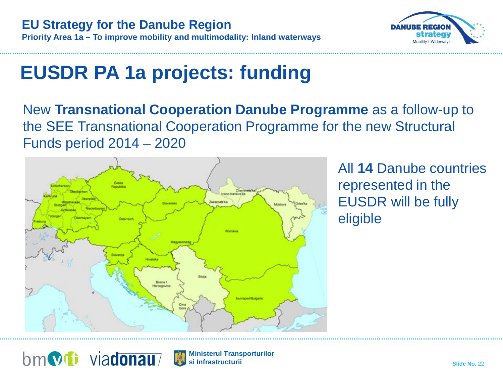

# **EUSDR PA 1a projects: funding**

New **Transnational Cooperation Danube Programme** as a follow-up to the SEE Transnational Cooperation Programme for the new Structural Funds period 2014 – 2020



All **14** Danube countries represented in the EUSDR will be fully eligible



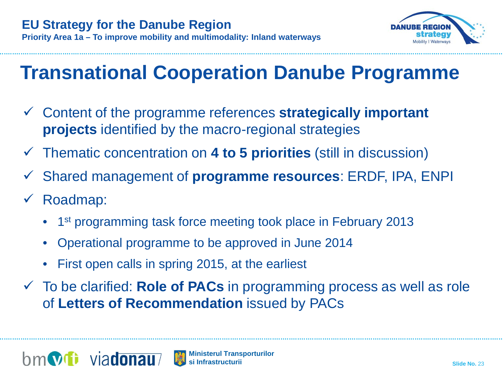

## **Transnational Cooperation Danube Programme**

- Content of the programme references **strategically important projects** identified by the macro-regional strategies
- Thematic concentration on **4 to 5 priorities** (still in discussion)
- Shared management of **programme resources**: ERDF, IPA, ENPI
- Roadmap:
	- <sup>1st</sup> programming task force meeting took place in February 2013
	- Operational programme to be approved in June 2014
	- First open calls in spring 2015, at the earliest
- To be clarified: **Role of PACs** in programming process as well as role of **Letters of Recommendation** issued by PACs

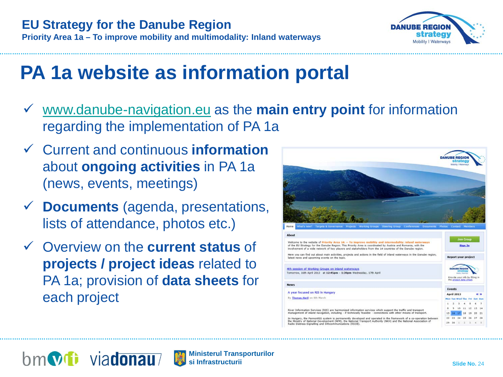

## **PA 1a website as information portal**

 [www.danube-navigation.eu](http://www.danube-navigation.eu/) as the **main entry point** for information regarding the implementation of PA 1a

**Ministerul Transporturilor**

- Current and continuous **information** about **ongoing activities** in PA 1a (news, events, meetings)
- **Documents** (agenda, presentations, lists of attendance, photos etc.)
- Overview on the **current status** of **projects / project ideas** related to PA 1a; provision of **data sheets** for each project

隐

bm**vit** viadonau